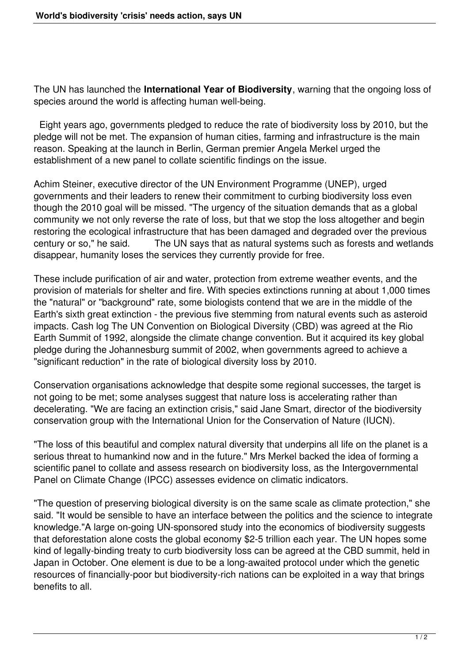The UN has launched the **International Year of Biodiversity**, warning that the ongoing loss of species around the world is affecting human well-being.

 Eight years ago, governments pledged to reduce the rate of biodiversity loss by 2010, but the pledge will not be met. The expansion of human cities, farming and infrastructure is the main reason. Speaking at the launch in Berlin, German premier Angela Merkel urged the establishment of a new panel to collate scientific findings on the issue.

Achim Steiner, executive director of the UN Environment Programme (UNEP), urged governments and their leaders to renew their commitment to curbing biodiversity loss even though the 2010 goal will be missed. "The urgency of the situation demands that as a global community we not only reverse the rate of loss, but that we stop the loss altogether and begin restoring the ecological infrastructure that has been damaged and degraded over the previous century or so," he said. The UN says that as natural systems such as forests and wetlands disappear, humanity loses the services they currently provide for free.

These include purification of air and water, protection from extreme weather events, and the provision of materials for shelter and fire. With species extinctions running at about 1,000 times the "natural" or "background" rate, some biologists contend that we are in the middle of the Earth's sixth great extinction - the previous five stemming from natural events such as asteroid impacts. Cash log The UN Convention on Biological Diversity (CBD) was agreed at the Rio Earth Summit of 1992, alongside the climate change convention. But it acquired its key global pledge during the Johannesburg summit of 2002, when governments agreed to achieve a "significant reduction" in the rate of biological diversity loss by 2010.

Conservation organisations acknowledge that despite some regional successes, the target is not going to be met; some analyses suggest that nature loss is accelerating rather than decelerating. "We are facing an extinction crisis," said Jane Smart, director of the biodiversity conservation group with the International Union for the Conservation of Nature (IUCN).

"The loss of this beautiful and complex natural diversity that underpins all life on the planet is a serious threat to humankind now and in the future." Mrs Merkel backed the idea of forming a scientific panel to collate and assess research on biodiversity loss, as the Intergovernmental Panel on Climate Change (IPCC) assesses evidence on climatic indicators.

"The question of preserving biological diversity is on the same scale as climate protection," she said. "It would be sensible to have an interface between the politics and the science to integrate knowledge."A large on-going UN-sponsored study into the economics of biodiversity suggests that deforestation alone costs the global economy \$2-5 trillion each year. The UN hopes some kind of legally-binding treaty to curb biodiversity loss can be agreed at the CBD summit, held in Japan in October. One element is due to be a long-awaited protocol under which the genetic resources of financially-poor but biodiversity-rich nations can be exploited in a way that brings benefits to all.